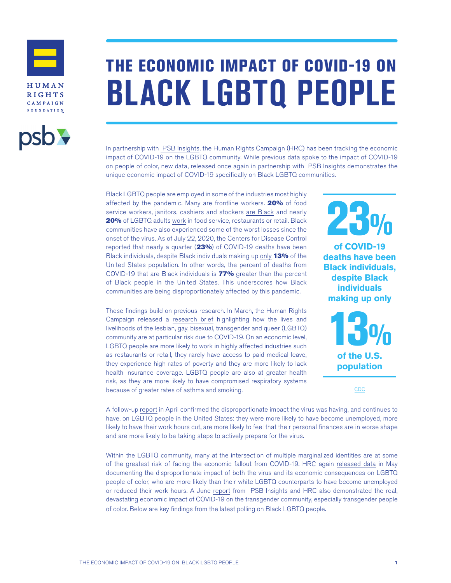



## THE ECONOMIC IMPACT OF COVID-19 ON **BLACK LGBTQ PEOPLE**

In partnership with [PSB Insights](https://www.psbresearch.com/), the Human Rights Campaign (HRC) has been tracking the economic impact of COVID-19 on the LGBTQ community. While previous data spoke to the impact of COVID-19 on people of color, new data, released once again in partnership with PSB Insights demonstrates the unique economic impact of COVID-19 specifically on Black LGBTQ communities.

Black LGBTQ people are employed in some of the industries most highly affected by the pandemic. Many are frontline workers. 20% of food service workers, janitors, cashiers and stockers [are Black](https://www.hrc.org/resources/the-impact-of-covid-19-on-lgbtq-communities-of-color) and nearly 20% of LGBTQ adults [work](https://www.hrc.org/resources/the-lives-and-livelihoods-of-many-in-the-lgbtq-community-are-at-risk-amidst) in food service, restaurants or retail. Black communities have also experienced some of the worst losses since the onset of the virus. As of July 22, 2020, the Centers for Disease Control [reported](https://www.cdc.gov/nchs/nvss/vsrr/covid_weekly/) that nearly a quarter (23%) of COVID-19 deaths have been Black individuals, despite Black individuals making up [only](https://www.census.gov/quickfacts/fact/table/US/PST045219) 13% of the United States population. In other words, the percent of deaths from COVID-19 that are Black individuals is 77% greater than the percent of Black people in the United States. This underscores how Black communities are being disproportionately affected by this pandemic.

These findings build on previous research. In March, the Human Rights Campaign released a [research brief](https://www.hrc.org/resources/the-lives-and-livelihoods-of-many-in-the-lgbtq-community-are-at-risk-amidst) highlighting how the lives and livelihoods of the lesbian, gay, bisexual, transgender and queer (LGBTQ) community are at particular risk due to COVID-19. On an economic level, LGBTQ people are more likely to work in highly affected industries such as restaurants or retail, they rarely have access to paid medical leave, they experience high rates of poverty and they are more likely to lack health insurance coverage. LGBTQ people are also at greater health risk, as they are more likely to have compromised respiratory systems because of greater rates of asthma and smoking.



[CDC](https://www.cdc.gov/nchs/nvss/vsrr/covid_weekly/)

A follow-up [report](https://www.hrc.org/resources/the-economic-impact-of-covid-19-on-the-lgbtq-community) in April confirmed the disproportionate impact the virus was having, and continues to have, on LGBTQ people in the United States: they were more likely to have become unemployed, more likely to have their work hours cut, are more likely to feel that their personal finances are in worse shape and are more likely to be taking steps to actively prepare for the virus.

Within the LGBTQ community, many at the intersection of multiple marginalized identities are at some of the greatest risk of facing the economic fallout from COVID-19. HRC again [released data](https://www.hrc.org/resources/the-impact-of-covid-19-on-lgbtq-communities-of-color) in May documenting the disproportionate impact of both the virus and its economic consequences on LGBTQ people of color, who are more likely than their white LGBTQ counterparts to have become unemployed or reduced their work hours. A June [report](https://www.hrc.org/blog/hrc-psb-research-release-data-on-disproportionate-economic-impact-of-covid) from PSB Insights and HRC also demonstrated the real, devastating economic impact of COVID-19 on the transgender community, especially transgender people of color. Below are key findings from the latest polling on Black LGBTQ people.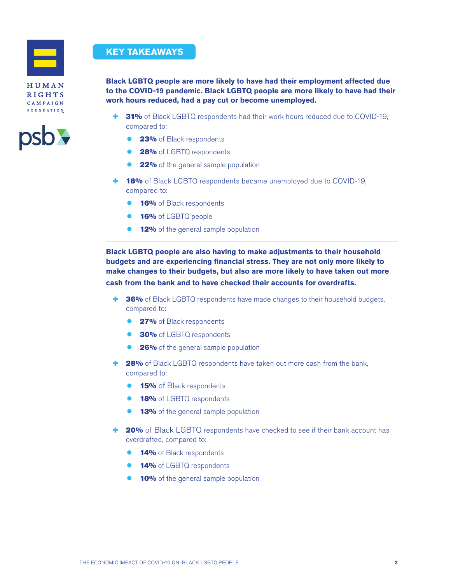



## **KEY TAKEAWAYS**

**Black LGBTQ people are more likely to have had their employment affected due to the COVID-19 pandemic. Black LGBTQ people are more likely to have had their work hours reduced, had a pay cut or become unemployed.**

- 31% of Black LGBTQ respondents had their work hours reduced due to COVID-19, compared to:
	- 23% of Black respondents
	- 28% of LGBTQ respondents
	- **22%** of the general sample population
- **18%** of Black LGBTQ respondents became unemployed due to COVID-19, compared to:
	- 16% of Black respondents
	- 16% of LGBTQ people
	- **12%** of the general sample population

**Black LGBTQ people are also having to make adjustments to their household budgets and are experiencing financial stress. They are not only more likely to make changes to their budgets, but also are more likely to have taken out more cash from the bank and to have checked their accounts for overdrafts.**

- $\div$  **36%** of Black LGBTQ respondents have made changes to their household budgets, compared to:
	- **27%** of Black respondents
	- **30%** of LGBTQ respondents
	- **26%** of the general sample population
- 28% of Black LGBTQ respondents have taken out more cash from the bank, compared to:
	- **15%** of Black respondents
	- 18% of LGBTQ respondents
	- **13%** of the general sample population
- **20%** of Black LGBTQ respondents have checked to see if their bank account has overdrafted, compared to:
	- 14% of Black respondents
	- 14% of LGBTQ respondents
	- **10%** of the general sample population